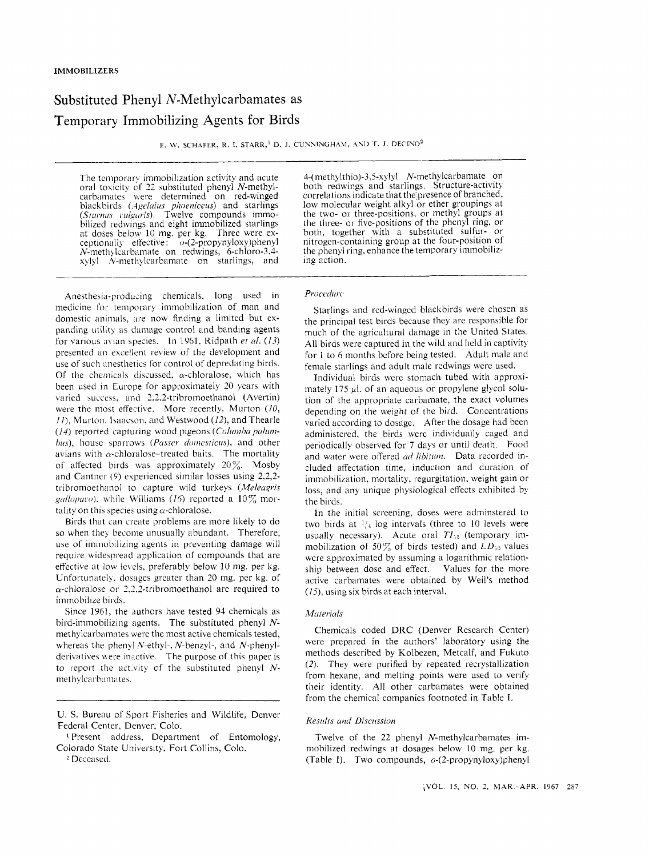# Substituted Phenyl N-Methylcarbamates as Temporary Immobilizing Agents for Birds

E. W. SCHAFER, R. I. STARR,<sup>1</sup> D. J. CUNNINGHAM, AND T. J. DECINO<sup>2</sup>

The temporary immobilization activity and acute oral toxicity of 22 substituted phenyl N-methylcarbamates were determined on red-winged blackbirds *(.lge/rii~~ plioeniceus)* and starlings (Sturnus vulgaris). Twelve compounds immobilized redwings and eight immobilized starlings at doses below 10 mg, per kg. Three were exceptionally effective:  $o-(2$ -propynyloxy)phenyl  $N$ -methylcarbamate on redwings, 6-chloro-3.4 $x$ ylyl  $N$ -methylcarbamate on starlings, and

4-(methylthio)-3,5-xylyl N-methylcarbamate on both redwings and starlings, Structure-activity correlations indicate that the presence of branched. low molecular weight alkyl or ether groupings at the two- or three-positions, or methyl groups at the three- or five-positions of the phenyl ring, or both, together with a substituted sulfur- or nitrogen-containing group at the four-position of the phenyl ring, enhance the temporary immobilizing action.

## $Procedure$

Anesthesia-producing chemicals, long used in medicine for temporary immobilization of man and domestic animals, are now finding a limited but expanding utility as damage control and banding agents for various avian species. In 1961, Ridpath *et al. (13)* presented an excellent review of the development and use of such anesthetics for control of depredating birds. Of the chemicals discussed,  $\alpha$ -chloralose, which has been used in Europe for approximately 20 years with varied success, and 2.2.2-tribromoethanol (Avertin) were the most effective. More recently, Murton (10, *II*), Murton, Isaacson, and Westwood (12), and Thearle *(14)* reported capturing wood pigeons *(Columba palumhus*), house sparrows (Passer domesticus), and other avians with  $\alpha$ -chloralose-treated baits. The mortality of affected birds was approximately *207&* Mosby and Cantner  $(9)$  experienced similar losses using 2,2,2tribromoethanol to capture wild turkeys (Meleagris *galloparo*), while Williams (16) reported a 10% mortality on this species using  $\alpha$ -chloralose.

Birds that can create problems are more likely to do so when they become unusually abundant. Therefore, use of immobilizing agents in preventing damage will require widespread application of compounds that are effective at low levels, preferably below 10 mg. per kg. Unfortunatel). dosages greater than 20 mg. per kg. of  $\alpha$ -chloralose or 2.2.2-tribromoethanol are required to immobilize birds.

Since 1961, the authors have tested 94 chemicals as bird-immobilizing agents. The substituted phenyl *N*methylcarbamates were the most active chemicals tested, whereas the phenyl  $N$ -ethyl-.  $N$ -benzyl-, and  $N$ -phenylderivatives were inactive. The purpose of this paper is to report the activity of the substituted phenyl Nmethylcarbamates.

Starlings and red-winged blackbirds were chosen as the principal test birds because they are responsible for much of the agricultural damage in the United States. **All** birds were captured in the wild and held in captivity for 1 to 6 months before being tested. Adult male and female starlings and adult male redwings were used.

Individual birds were stomach tubed with approximately 175  $\mu$ l. of an aqueous or propylene glycol solution of the appropriate carbamate, the exact volumes depending on the weight of the bird. Concentrations varied according to dosage. After the dosage had been administered. the birds were individually caged and periodically observed for *7* days or until death. Food and water were offered *cid libitum.* Data recorded included affectation time, induction and duration of immobilization. mortality, regurgitation. weight gain or loss, and any unique physiological effects exhibited by the birds.

In the initial screening, doses were adminstered to two birds at  $\frac{1}{4}$  log intervals (three to 10 levels were usually necessary). Acute oral  $TI_{50}$  (temporary immobilization of 50 $\%$  of birds tested) and  $LD_{50}$  values were approximated by assuming a logarithmic relationship between dose and effect. Values for the more active carbamates were obtained by Weil's method *(15).* using six birds at each interval.

### *Motericils*

Chemicals coded DRC (Denver Research Center) were prepared in the authors' laboratory using the methods described by Kolbezen, Metcalf, and Fukuto (2). They were purified by repeated recrystallization from hexane, and melting points were used to verify their identity. All other carbamates were obtained from the chemical companies footnoted in Table I.

## *Results cind Discussion*

Twelve of the 22 phenyl N-methylcarbamates immobilized redwings at dosages below 10 mg. per kg. (Table I). Two compounds,  $o$ -(2-propynyloxy)phenyl

U. **S.** Bureau of Sport Fisheries and Wildlife, Denver Federal Center, Denver. Colo.

<sup>&</sup>lt;sup>1</sup> Present address, Department of Entomology, Colorado State University. Fort Collins, Colo.

Deceased.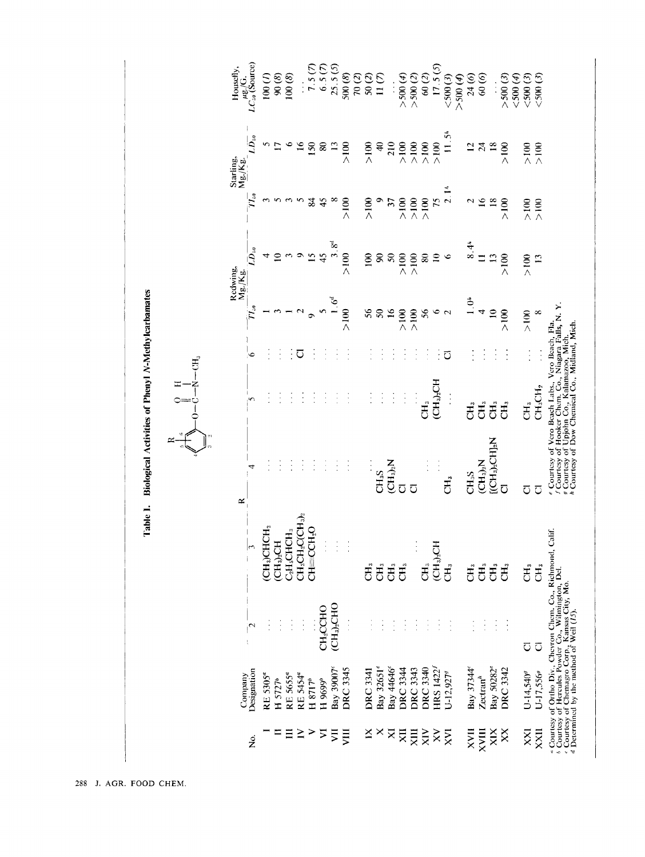Table 1. Biological Activities of Phenyl N-Methylcarbamates

 $-CH<sub>3</sub>$ 

 $\Xi$ z

 $\circ$ 

 $\approx$ 

|                        | Company                |                         |                                                                                                                                                                                                                                      | ≃                                                                                                                |                                                           |                               |                                                          | Redwing,<br>Mg/Kg            |                                                            | Starling,<br>Mg./Kg.                               | Housefly,           |
|------------------------|------------------------|-------------------------|--------------------------------------------------------------------------------------------------------------------------------------------------------------------------------------------------------------------------------------|------------------------------------------------------------------------------------------------------------------|-----------------------------------------------------------|-------------------------------|----------------------------------------------------------|------------------------------|------------------------------------------------------------|----------------------------------------------------|---------------------|
| ż                      | Designation            | $\mathsf{P}$            |                                                                                                                                                                                                                                      |                                                                                                                  | $\sqrt{2}$                                                | ۰                             |                                                          | $LD_{\scriptscriptstyle 50}$ |                                                            | $LD_{50}$                                          | $LC_{10}$ (Source)  |
|                        | RE 5305 <sup>a</sup>   | $\vdots$                | (CH <sub>3</sub> )CHCH <sub>2</sub>                                                                                                                                                                                                  |                                                                                                                  |                                                           |                               |                                                          | 4                            |                                                            |                                                    | 100(7)              |
|                        | $H$ 5727 <sup>b</sup>  | $\frac{1}{2}$           | (CH <sub>3</sub> ) <sub>S</sub> CH                                                                                                                                                                                                   | Į.                                                                                                               |                                                           | $\ddot{\cdot}$                |                                                          | $\overline{10}$              | 55.5                                                       | $5\sigma$                                          | 90(8)               |
| $\Xi$                  | RE 5655 <sup>a</sup>   | $\frac{1}{2}$           | C <sub>2</sub> H <sub>5</sub> CHCH <sub>3</sub>                                                                                                                                                                                      | $\vdots$                                                                                                         |                                                           | $\vdots$                      |                                                          |                              |                                                            | $\bullet$                                          | 100(8)              |
| $\geq$                 | RE 5454 <sup>ª</sup>   | $\frac{1}{2}$           | $CH_3CH_2CCH_3$                                                                                                                                                                                                                      | ł                                                                                                                |                                                           | ರ                             | $\overline{2}$                                           |                              |                                                            | $\overline{16}$                                    | $\ddot{\cdot}$      |
| ⋗                      | H 8717 <sup>b</sup>    |                         | $CH=CCH2O$                                                                                                                                                                                                                           | Ĩ,                                                                                                               |                                                           | $\vdots$                      |                                                          | 954                          | 84                                                         | 150                                                | 7.5(7)              |
| ⋝                      | H 9699 <sup>b</sup>    | CH <sub>2</sub> CCHO    |                                                                                                                                                                                                                                      | $\frac{1}{2}$                                                                                                    |                                                           | $\ddot{\cdot}$                | $\begin{array}{c}\n 5 \\  1.6^d \\  > 100\n \end{array}$ |                              | 45                                                         | $\pmb{8}$                                          | $6.5(7)$<br>25.5(5) |
| 買                      | Bay 39007 <sup>c</sup> | $CH_3$ <sub>2</sub> CHO | $\vdots$                                                                                                                                                                                                                             | $\ddot{\cdot}$                                                                                                   |                                                           | $\vdots$                      |                                                          | $3.8^d$                      | $\infty$                                                   | $\overline{13}$                                    |                     |
| JЩ                     | <b>DRC 3345</b>        | $\ddot{\cdot}$          | $\ddot{\cdot}$                                                                                                                                                                                                                       | $\vdots$                                                                                                         |                                                           | $\vdots$                      |                                                          | $>100$                       | $\geqslant$ 100                                            | ${>}100$                                           | 500(8)              |
|                        |                        |                         |                                                                                                                                                                                                                                      |                                                                                                                  |                                                           |                               |                                                          |                              |                                                            |                                                    | $70\ (2)$           |
| $\mathbf{\breve{\Xi}}$ | <b>DRC 3341</b>        |                         | <b>CH3</b>                                                                                                                                                                                                                           | $\vdots$                                                                                                         | $\vdots$                                                  | $\frac{1}{2}$                 | 56                                                       | 100                          | $\frac{8}{2}$                                              | $\frac{8}{4}$                                      | 50(2)               |
| ×                      | Bay 32651 <sup>e</sup> |                         | $\tilde{\text{CH}}_3$                                                                                                                                                                                                                | CH <sub>3</sub> S                                                                                                | $\frac{1}{2}$                                             | Í                             |                                                          |                              |                                                            |                                                    | 11(7)               |
| $\mathbf{\Sigma}$      | Bay 44646 <sup>e</sup> |                         | ĊН,                                                                                                                                                                                                                                  | $\overline{\text{CH}_3}{}_{2}^{\circ} \text{N}$                                                                  | $\frac{1}{2}$                                             | $\frac{1}{2}$                 | $50\,$                                                   | 88                           |                                                            | $rac{40}{210}$                                     |                     |
| Σ                      | DRC 3344               | $\frac{1}{2}$           | CH <sub>3</sub>                                                                                                                                                                                                                      | $\overline{D}$                                                                                                   | $\frac{1}{2}$                                             | $\ddot{\cdot}$                | $>100$<br>$>100$                                         |                              |                                                            | $\geqslant100$                                     | >500(4)             |
| XIII                   | <b>DRC 3343</b>        | ţ                       | $\ddot{\cdot}$                                                                                                                                                                                                                       | ಕ                                                                                                                | $\frac{1}{2}$                                             | $\frac{1}{2}$                 |                                                          | $>100$<br>$\times 100$       |                                                            |                                                    | >500(2)             |
| $\times$               | DRC 3340               | Î                       | Ĵ.                                                                                                                                                                                                                                   |                                                                                                                  | СН.<br>С                                                  | $\ddot{\cdot}$                |                                                          | 80                           |                                                            |                                                    | $60(2)$<br>17.5(5)  |
| $\tilde{\mathsf{x}}$   | HRS 1422               |                         | <b>HD<sup>6</sup>CH</b>                                                                                                                                                                                                              |                                                                                                                  | $\overline{\text{CH}_3}$ ch                               | $\vdots$                      | $% 6$ $\alpha$                                           |                              |                                                            |                                                    |                     |
| ΣŇ                     | $U-12,927^{\circ}$     |                         | Ğ                                                                                                                                                                                                                                    | 己<br>己                                                                                                           | $\ddot{\cdot}$                                            | ರ                             |                                                          | $\circ$                      | $9$<br>$37$<br>$7100$<br>$7100$<br>$714$<br>$714$<br>$714$ | $>100$<br>$>100$<br>$>100$<br>$>11.5$ <sup>4</sup> | $<$ 500 $(3)$       |
|                        |                        |                         |                                                                                                                                                                                                                                      |                                                                                                                  |                                                           |                               |                                                          |                              |                                                            |                                                    | $>$ 500 (4)         |
| XVII                   | Bay 37344 <sup>e</sup> | $\vdots$                | Ĵ,                                                                                                                                                                                                                                   | CH <sub>3</sub> S                                                                                                | ت <del>دا</del>                                           | $\ddot{\cdot}$                | 1.0 <sup>4</sup>                                         | 8.44                         | $\overline{c}$                                             |                                                    | 24(6)               |
| XVIII                  | $Zectran^h$            | $\frac{1}{2}$           | CH <sub>3</sub>                                                                                                                                                                                                                      |                                                                                                                  | Ξ.                                                        | $\ddot{\cdot}$                | 4                                                        | $\Box$                       | $\frac{16}{18}$                                            | 278                                                | 60(6)               |
| XIX                    | Bay 50282 <sup>e</sup> | $\frac{1}{2}$           | $\vec{H}$                                                                                                                                                                                                                            | $\begin{array}{l} \rm (CH_3)_N \\ \rm I(CH_3)_2CHJ_3N \end{array}$                                               | <b>E</b>                                                  | $\vdots$                      | $\overline{10}$                                          | 13                           |                                                            |                                                    |                     |
| $\mathbf{x}$           | DRC 3342               |                         | <b>E</b>                                                                                                                                                                                                                             | ភ                                                                                                                | CH <sub>3</sub>                                           | $\ddot{\cdot}$                | $\frac{8}{4}$                                            | >100                         | $\frac{8}{2}$                                              | $\geq 100$                                         | $>$ 500 $(3)$       |
|                        |                        |                         |                                                                                                                                                                                                                                      |                                                                                                                  |                                                           |                               |                                                          |                              |                                                            |                                                    | $<$ 500 $(4)$       |
| XX                     | $U - 14,540^9$         | Ō                       | E                                                                                                                                                                                                                                    | ಗ                                                                                                                | $\ddot{\epsilon}$                                         | $\vdots$                      | $\frac{8}{100}$                                          | $\frac{8}{2}$                | ${>}100$                                                   | $\frac{80}{100}$                                   | $<$ 500 $(3)$       |
| XXII                   | U-17,556 <sup>o</sup>  | $\overline{\circ}$      | CH <sub>3</sub>                                                                                                                                                                                                                      | ಗ                                                                                                                | CH <sub>3</sub> CH <sub>2</sub>                           |                               | $\infty$                                                 | $\overline{13}$              | $\frac{8}{2}$                                              |                                                    | 500(3)              |
|                        |                        |                         | $^{*}$ Courtesy of Ortho Div., Chevron Chem. Co., Richmond, Calif.<br>$^{*}$ Courtesy of Hercules Powder Co., Wilmington, Del.<br>$^{*}$ Determined by the method of Weil (15). Mo.<br>$^{*}$ Determined by the method of Weil (15). | Courtesy of Dow Chemical Co., Midland, Mich<br><sup><i>v</i></sup> Courtesy of<br>Courtesy of<br>$e$ Courtesy of | 'cro Beach Labs.,<br><b>Iooker Chem.</b> (<br>Upjohn Co., | Vero Beach, Fla.<br>zoo, Mich | Co., Niagara Falls, N.Y                                  |                              |                                                            |                                                    |                     |
|                        |                        |                         |                                                                                                                                                                                                                                      |                                                                                                                  |                                                           |                               |                                                          |                              |                                                            |                                                    |                     |